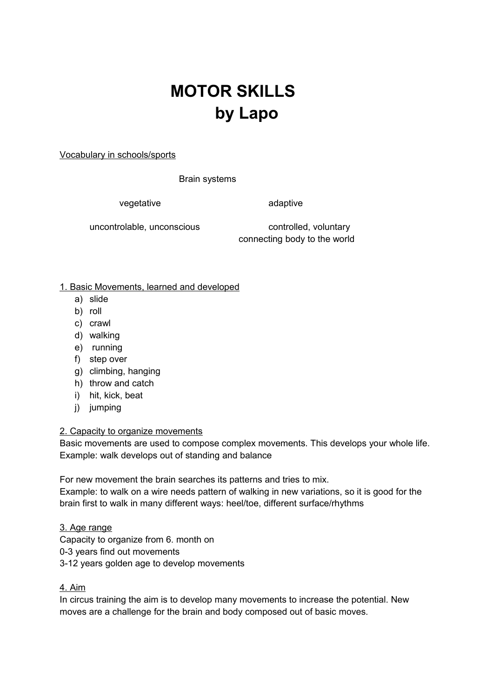## **MOTOR SKILLS by Lapo**

Vocabulary in schools/sports

Brain systems

vegetative adaptive adaptive

uncontrolable, unconscious controlled, voluntary connecting body to the world

1. Basic Movements, learned and developed

- a) slide
- b) roll
- c) crawl
- d) walking
- e) running
- f) step over
- g) climbing, hanging
- h) throw and catch
- i) hit, kick, beat
- j) jumping

## 2. Capacity to organize movements

Basic movements are used to compose complex movements. This develops your whole life. Example: walk develops out of standing and balance

For new movement the brain searches its patterns and tries to mix.

Example: to walk on a wire needs pattern of walking in new variations, so it is good for the brain first to walk in many different ways: heel/toe, different surface/rhythms

3. Age range Capacity to organize from 6. month on 0-3 years find out movements 3-12 years golden age to develop movements

## 4. Aim

In circus training the aim is to develop many movements to increase the potential. New moves are a challenge for the brain and body composed out of basic moves.